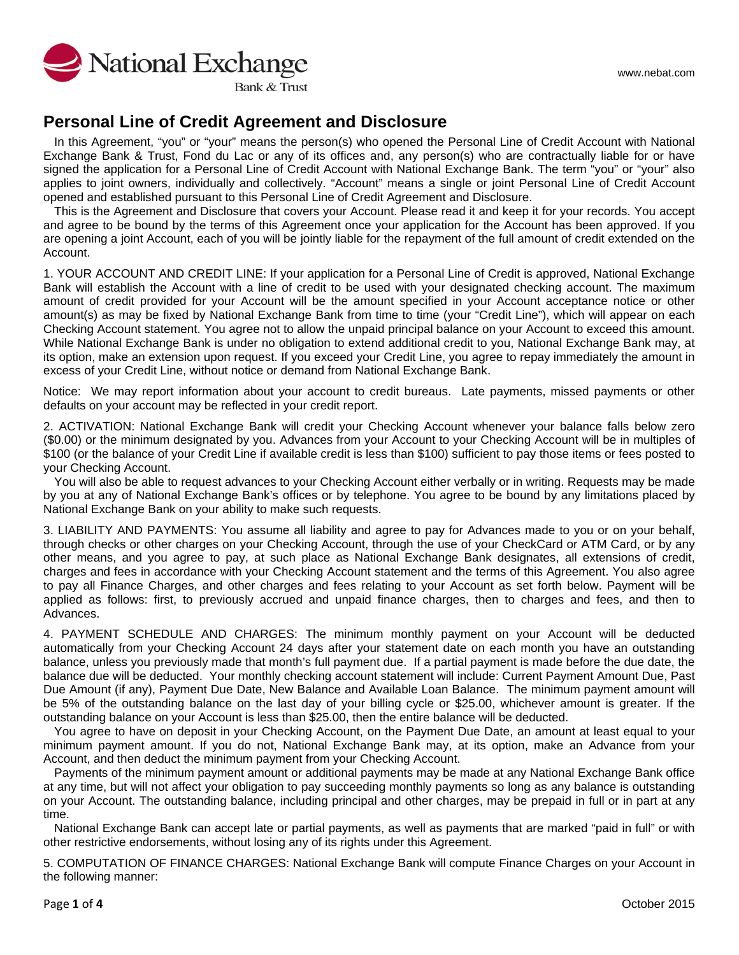

**Bank & Trust** 

### **Personal Line of Credit Agreement and Disclosure**

In this Agreement, "you" or "your" means the person(s) who opened the Personal Line of Credit Account with National Exchange Bank & Trust, Fond du Lac or any of its offices and, any person(s) who are contractually liable for or have signed the application for a Personal Line of Credit Account with National Exchange Bank. The term "you" or "your" also applies to joint owners, individually and collectively. "Account" means a single or joint Personal Line of Credit Account opened and established pursuant to this Personal Line of Credit Agreement and Disclosure.

This is the Agreement and Disclosure that covers your Account. Please read it and keep it for your records. You accept and agree to be bound by the terms of this Agreement once your application for the Account has been approved. If you are opening a joint Account, each of you will be jointly liable for the repayment of the full amount of credit extended on the Account.

1. YOUR ACCOUNT AND CREDIT LINE: If your application for a Personal Line of Credit is approved, National Exchange Bank will establish the Account with a line of credit to be used with your designated checking account. The maximum amount of credit provided for your Account will be the amount specified in your Account acceptance notice or other amount(s) as may be fixed by National Exchange Bank from time to time (your "Credit Line"), which will appear on each Checking Account statement. You agree not to allow the unpaid principal balance on your Account to exceed this amount. While National Exchange Bank is under no obligation to extend additional credit to you, National Exchange Bank may, at its option, make an extension upon request. If you exceed your Credit Line, you agree to repay immediately the amount in excess of your Credit Line, without notice or demand from National Exchange Bank.

Notice: We may report information about your account to credit bureaus. Late payments, missed payments or other defaults on your account may be reflected in your credit report.

2. ACTIVATION: National Exchange Bank will credit your Checking Account whenever your balance falls below zero (\$0.00) or the minimum designated by you. Advances from your Account to your Checking Account will be in multiples of \$100 (or the balance of your Credit Line if available credit is less than \$100) sufficient to pay those items or fees posted to your Checking Account.

You will also be able to request advances to your Checking Account either verbally or in writing. Requests may be made by you at any of National Exchange Bank's offices or by telephone. You agree to be bound by any limitations placed by National Exchange Bank on your ability to make such requests.

3. LIABILITY AND PAYMENTS: You assume all liability and agree to pay for Advances made to you or on your behalf, through checks or other charges on your Checking Account, through the use of your CheckCard or ATM Card, or by any other means, and you agree to pay, at such place as National Exchange Bank designates, all extensions of credit, charges and fees in accordance with your Checking Account statement and the terms of this Agreement. You also agree to pay all Finance Charges, and other charges and fees relating to your Account as set forth below. Payment will be applied as follows: first, to previously accrued and unpaid finance charges, then to charges and fees, and then to Advances.

4. PAYMENT SCHEDULE AND CHARGES: The minimum monthly payment on your Account will be deducted automatically from your Checking Account 24 days after your statement date on each month you have an outstanding balance, unless you previously made that month's full payment due. If a partial payment is made before the due date, the balance due will be deducted. Your monthly checking account statement will include: Current Payment Amount Due, Past Due Amount (if any), Payment Due Date, New Balance and Available Loan Balance. The minimum payment amount will be 5% of the outstanding balance on the last day of your billing cycle or \$25.00, whichever amount is greater. If the outstanding balance on your Account is less than \$25.00, then the entire balance will be deducted.

You agree to have on deposit in your Checking Account, on the Payment Due Date, an amount at least equal to your minimum payment amount. If you do not, National Exchange Bank may, at its option, make an Advance from your Account, and then deduct the minimum payment from your Checking Account.

Payments of the minimum payment amount or additional payments may be made at any National Exchange Bank office at any time, but will not affect your obligation to pay succeeding monthly payments so long as any balance is outstanding on your Account. The outstanding balance, including principal and other charges, may be prepaid in full or in part at any time.

National Exchange Bank can accept late or partial payments, as well as payments that are marked "paid in full" or with other restrictive endorsements, without losing any of its rights under this Agreement.

5. COMPUTATION OF FINANCE CHARGES: National Exchange Bank will compute Finance Charges on your Account in the following manner: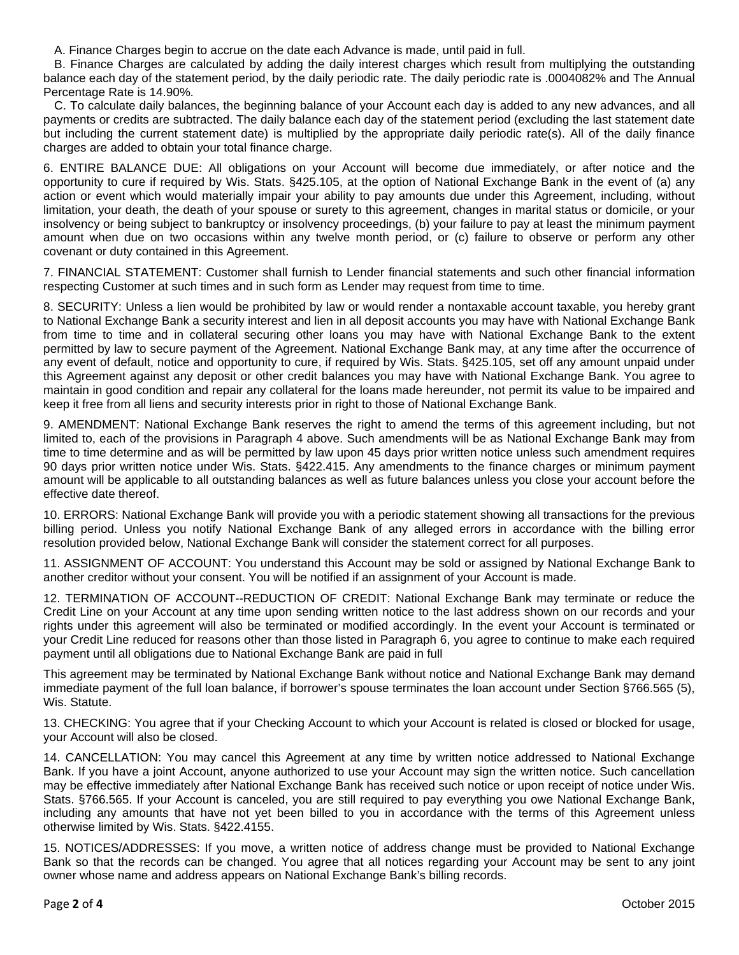A. Finance Charges begin to accrue on the date each Advance is made, until paid in full.

B. Finance Charges are calculated by adding the daily interest charges which result from multiplying the outstanding balance each day of the statement period, by the daily periodic rate. The daily periodic rate is .0004082% and The Annual Percentage Rate is 14.90%.

C. To calculate daily balances, the beginning balance of your Account each day is added to any new advances, and all payments or credits are subtracted. The daily balance each day of the statement period (excluding the last statement date but including the current statement date) is multiplied by the appropriate daily periodic rate(s). All of the daily finance charges are added to obtain your total finance charge.

6. ENTIRE BALANCE DUE: All obligations on your Account will become due immediately, or after notice and the opportunity to cure if required by Wis. Stats. §425.105, at the option of National Exchange Bank in the event of (a) any action or event which would materially impair your ability to pay amounts due under this Agreement, including, without limitation, your death, the death of your spouse or surety to this agreement, changes in marital status or domicile, or your insolvency or being subject to bankruptcy or insolvency proceedings, (b) your failure to pay at least the minimum payment amount when due on two occasions within any twelve month period, or (c) failure to observe or perform any other covenant or duty contained in this Agreement.

7. FINANCIAL STATEMENT: Customer shall furnish to Lender financial statements and such other financial information respecting Customer at such times and in such form as Lender may request from time to time.

8. SECURITY: Unless a lien would be prohibited by law or would render a nontaxable account taxable, you hereby grant to National Exchange Bank a security interest and lien in all deposit accounts you may have with National Exchange Bank from time to time and in collateral securing other loans you may have with National Exchange Bank to the extent permitted by law to secure payment of the Agreement. National Exchange Bank may, at any time after the occurrence of any event of default, notice and opportunity to cure, if required by Wis. Stats. §425.105, set off any amount unpaid under this Agreement against any deposit or other credit balances you may have with National Exchange Bank. You agree to maintain in good condition and repair any collateral for the loans made hereunder, not permit its value to be impaired and keep it free from all liens and security interests prior in right to those of National Exchange Bank.

9. AMENDMENT: National Exchange Bank reserves the right to amend the terms of this agreement including, but not limited to, each of the provisions in Paragraph 4 above. Such amendments will be as National Exchange Bank may from time to time determine and as will be permitted by law upon 45 days prior written notice unless such amendment requires 90 days prior written notice under Wis. Stats. §422.415. Any amendments to the finance charges or minimum payment amount will be applicable to all outstanding balances as well as future balances unless you close your account before the effective date thereof.

10. ERRORS: National Exchange Bank will provide you with a periodic statement showing all transactions for the previous billing period. Unless you notify National Exchange Bank of any alleged errors in accordance with the billing error resolution provided below, National Exchange Bank will consider the statement correct for all purposes.

11. ASSIGNMENT OF ACCOUNT: You understand this Account may be sold or assigned by National Exchange Bank to another creditor without your consent. You will be notified if an assignment of your Account is made.

12. TERMINATION OF ACCOUNT--REDUCTION OF CREDIT: National Exchange Bank may terminate or reduce the Credit Line on your Account at any time upon sending written notice to the last address shown on our records and your rights under this agreement will also be terminated or modified accordingly. In the event your Account is terminated or your Credit Line reduced for reasons other than those listed in Paragraph 6, you agree to continue to make each required payment until all obligations due to National Exchange Bank are paid in full

This agreement may be terminated by National Exchange Bank without notice and National Exchange Bank may demand immediate payment of the full loan balance, if borrower's spouse terminates the loan account under Section §766.565 (5), Wis. Statute.

13. CHECKING: You agree that if your Checking Account to which your Account is related is closed or blocked for usage, your Account will also be closed.

14. CANCELLATION: You may cancel this Agreement at any time by written notice addressed to National Exchange Bank. If you have a joint Account, anyone authorized to use your Account may sign the written notice. Such cancellation may be effective immediately after National Exchange Bank has received such notice or upon receipt of notice under Wis. Stats. §766.565. If your Account is canceled, you are still required to pay everything you owe National Exchange Bank, including any amounts that have not yet been billed to you in accordance with the terms of this Agreement unless otherwise limited by Wis. Stats. §422.4155.

15. NOTICES/ADDRESSES: If you move, a written notice of address change must be provided to National Exchange Bank so that the records can be changed. You agree that all notices regarding your Account may be sent to any joint owner whose name and address appears on National Exchange Bank's billing records.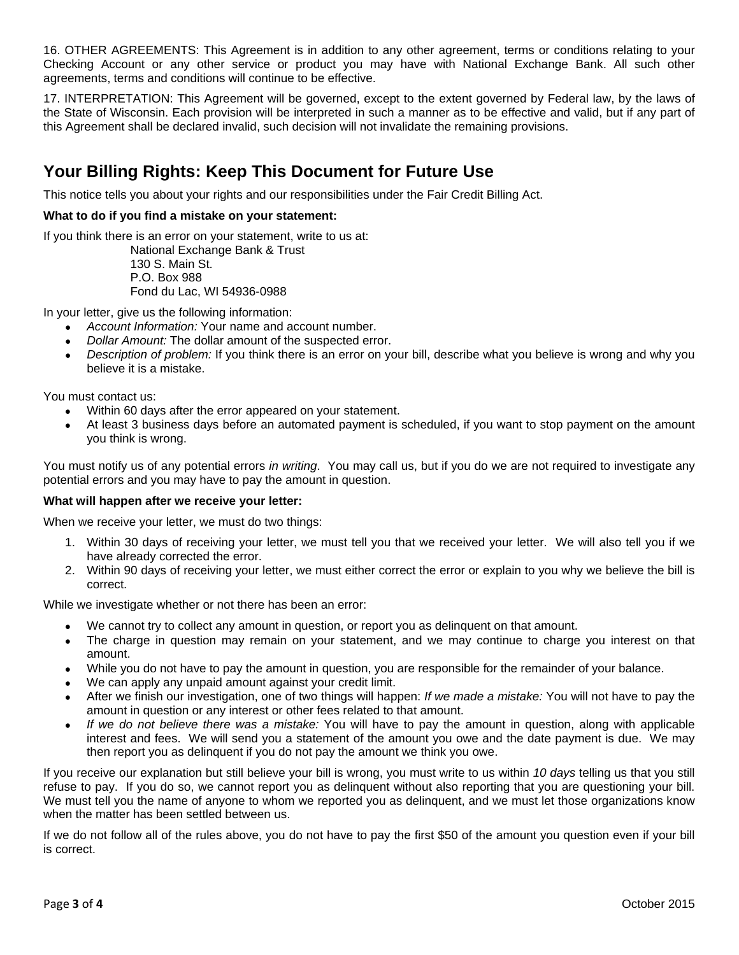16. OTHER AGREEMENTS: This Agreement is in addition to any other agreement, terms or conditions relating to your Checking Account or any other service or product you may have with National Exchange Bank. All such other agreements, terms and conditions will continue to be effective.

17. INTERPRETATION: This Agreement will be governed, except to the extent governed by Federal law, by the laws of the State of Wisconsin. Each provision will be interpreted in such a manner as to be effective and valid, but if any part of this Agreement shall be declared invalid, such decision will not invalidate the remaining provisions.

# **Your Billing Rights: Keep This Document for Future Use**

This notice tells you about your rights and our responsibilities under the Fair Credit Billing Act.

### **What to do if you find a mistake on your statement:**

If you think there is an error on your statement, write to us at:

National Exchange Bank & Trust 130 S. Main St. P.O. Box 988 Fond du Lac, WI 54936-0988

In your letter, give us the following information:

- *Account Information:* Your name and account number.
- *Dollar Amount:* The dollar amount of the suspected error.
- *Description of problem:* If you think there is an error on your bill, describe what you believe is wrong and why you believe it is a mistake.

You must contact us:

- Within 60 days after the error appeared on your statement.
- At least 3 business days before an automated payment is scheduled, if you want to stop payment on the amount you think is wrong.

You must notify us of any potential errors *in writing*. You may call us, but if you do we are not required to investigate any potential errors and you may have to pay the amount in question.

#### **What will happen after we receive your letter:**

When we receive your letter, we must do two things:

- 1. Within 30 days of receiving your letter, we must tell you that we received your letter. We will also tell you if we have already corrected the error.
- 2. Within 90 days of receiving your letter, we must either correct the error or explain to you why we believe the bill is correct.

While we investigate whether or not there has been an error:

- We cannot try to collect any amount in question, or report you as delinguent on that amount.
- The charge in question may remain on your statement, and we may continue to charge you interest on that amount.
- While you do not have to pay the amount in question, you are responsible for the remainder of your balance.
- We can apply any unpaid amount against your credit limit.
- After we finish our investigation, one of two things will happen: *If we made a mistake:* You will not have to pay the amount in question or any interest or other fees related to that amount.
- *If we do not believe there was a mistake:* You will have to pay the amount in question, along with applicable interest and fees. We will send you a statement of the amount you owe and the date payment is due. We may then report you as delinquent if you do not pay the amount we think you owe.

If you receive our explanation but still believe your bill is wrong, you must write to us within *10 days* telling us that you still refuse to pay. If you do so, we cannot report you as delinquent without also reporting that you are questioning your bill. We must tell you the name of anyone to whom we reported you as delinquent, and we must let those organizations know when the matter has been settled between us.

If we do not follow all of the rules above, you do not have to pay the first \$50 of the amount you question even if your bill is correct.